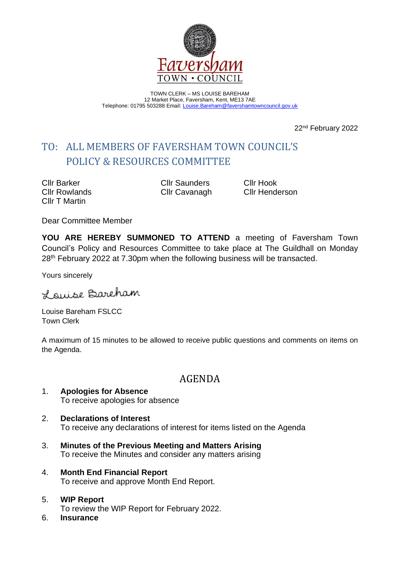

TOWN CLERK – MS LOUISE BAREHAM 12 Market Place, Faversham, Kent, ME13 7AE Telephone: 01795 503288 Email: [Louise.Bareham@favershamtowncouncil.gov.uk](mailto:Louise.Bareham@favershamtowncouncil.gov.uk)

22nd February 2022

# TO: ALL MEMBERS OF FAVERSHAM TOWN COUNCIL'S POLICY & RESOURCES COMMITTEE

Cllr Barker Cllr Saunders Cllr Hook Cllr T Martin

Cllr Rowlands Cllr Cavanagh Cllr Henderson

Dear Committee Member

**YOU ARE HEREBY SUMMONED TO ATTEND** a meeting of Faversham Town Council's Policy and Resources Committee to take place at The Guildhall on Monday 28<sup>th</sup> February 2022 at 7.30pm when the following business will be transacted.

Yours sincerely

Louise Barcham

Louise Bareham FSLCC Town Clerk

A maximum of 15 minutes to be allowed to receive public questions and comments on items on the Agenda.

# AGENDA

- 1. **Apologies for Absence** To receive apologies for absence
- 2. **Declarations of Interest** To receive any declarations of interest for items listed on the Agenda
- 3. **Minutes of the Previous Meeting and Matters Arising** To receive the Minutes and consider any matters arising
- 4. **Month End Financial Report** To receive and approve Month End Report.
- 5. **WIP Report** To review the WIP Report for February 2022.
- 6. **Insurance**